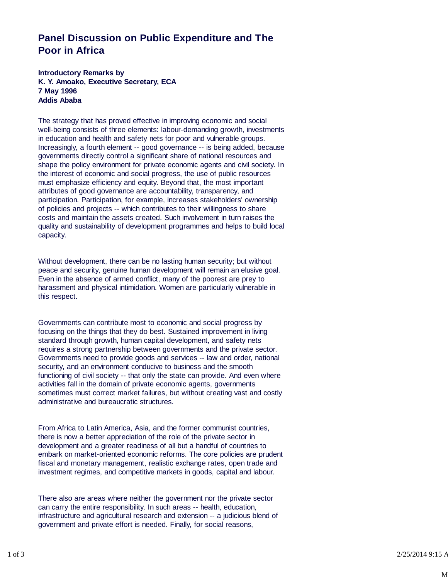## **Panel Discussion on Public Expenditure and The Poor in Africa**

**Introductory Remarks by K. Y. Amoako, Executive Secretary, ECA 7 May 1996 Addis Ababa**

The strategy that has proved effective in improving economic and social well-being consists of three elements: labour-demanding growth, investments in education and health and safety nets for poor and vulnerable groups. Increasingly, a fourth element -- good governance -- is being added, because governments directly control a significant share of national resources and shape the policy environment for private economic agents and civil society. In the interest of economic and social progress, the use of public resources must emphasize efficiency and equity. Beyond that, the most important attributes of good governance are accountability, transparency, and participation. Participation, for example, increases stakeholders' ownership of policies and projects -- which contributes to their willingness to share costs and maintain the assets created. Such involvement in turn raises the quality and sustainability of development programmes and helps to build local capacity.

Without development, there can be no lasting human security; but without peace and security, genuine human development will remain an elusive goal. Even in the absence of armed conflict, many of the poorest are prey to harassment and physical intimidation. Women are particularly vulnerable in this respect.

Governments can contribute most to economic and social progress by focusing on the things that they do best. Sustained improvement in living standard through growth, human capital development, and safety nets requires a strong partnership between governments and the private sector. Governments need to provide goods and services -- law and order, national security, and an environment conducive to business and the smooth functioning of civil society -- that only the state can provide. And even where activities fall in the domain of private economic agents, governments sometimes must correct market failures, but without creating vast and costly administrative and bureaucratic structures.

From Africa to Latin America, Asia, and the former communist countries, there is now a better appreciation of the role of the private sector in development and a greater readiness of all but a handful of countries to embark on market-oriented economic reforms. The core policies are prudent fiscal and monetary management, realistic exchange rates, open trade and investment regimes, and competitive markets in goods, capital and labour.

There also are areas where neither the government nor the private sector can carry the entire responsibility. In such areas -- health, education, infrastructure and agricultural research and extension -- a judicious blend of government and private effort is needed. Finally, for social reasons,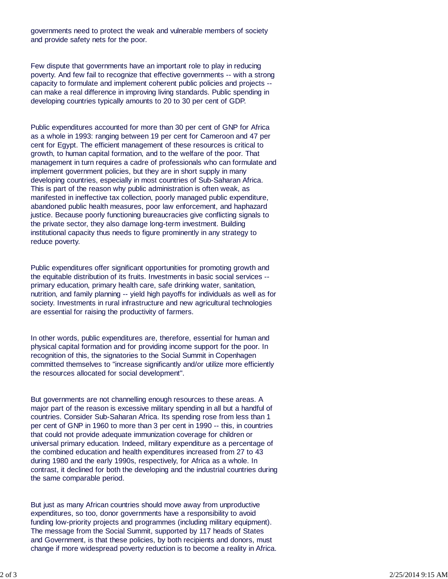governments need to protect the weak and vulnerable members of society and provide safety nets for the poor.

Few dispute that governments have an important role to play in reducing poverty. And few fail to recognize that effective governments -- with a strong capacity to formulate and implement coherent public policies and projects - can make a real difference in improving living standards. Public spending in developing countries typically amounts to 20 to 30 per cent of GDP.

Public expenditures accounted for more than 30 per cent of GNP for Africa as a whole in 1993: ranging between 19 per cent for Cameroon and 47 per cent for Egypt. The efficient management of these resources is critical to growth, to human capital formation, and to the welfare of the poor. That management in turn requires a cadre of professionals who can formulate and implement government policies, but they are in short supply in many developing countries, especially in most countries of Sub-Saharan Africa. This is part of the reason why public administration is often weak, as manifested in ineffective tax collection, poorly managed public expenditure, abandoned public health measures, poor law enforcement, and haphazard justice. Because poorly functioning bureaucracies give conflicting signals to the private sector, they also damage long-term investment. Building institutional capacity thus needs to figure prominently in any strategy to reduce poverty.

Public expenditures offer significant opportunities for promoting growth and the equitable distribution of its fruits. Investments in basic social services - primary education, primary health care, safe drinking water, sanitation, nutrition, and family planning -- yield high payoffs for individuals as well as for society. Investments in rural infrastructure and new agricultural technologies are essential for raising the productivity of farmers.

In other words, public expenditures are, therefore, essential for human and physical capital formation and for providing income support for the poor. In recognition of this, the signatories to the Social Summit in Copenhagen committed themselves to "increase significantly and/or utilize more efficiently the resources allocated for social development".

But governments are not channelling enough resources to these areas. A major part of the reason is excessive military spending in all but a handful of countries. Consider Sub-Saharan Africa. Its spending rose from less than 1 per cent of GNP in 1960 to more than 3 per cent in 1990 -- this, in countries that could not provide adequate immunization coverage for children or universal primary education. Indeed, military expenditure as a percentage of the combined education and health expenditures increased from 27 to 43 during 1980 and the early 1990s, respectively, for Africa as a whole. In contrast, it declined for both the developing and the industrial countries during the same comparable period.

But just as many African countries should move away from unproductive expenditures, so too, donor governments have a responsibility to avoid funding low-priority projects and programmes (including military equipment). The message from the Social Summit, supported by 117 heads of States and Government, is that these policies, by both recipients and donors, must change if more widespread poverty reduction is to become a reality in Africa.